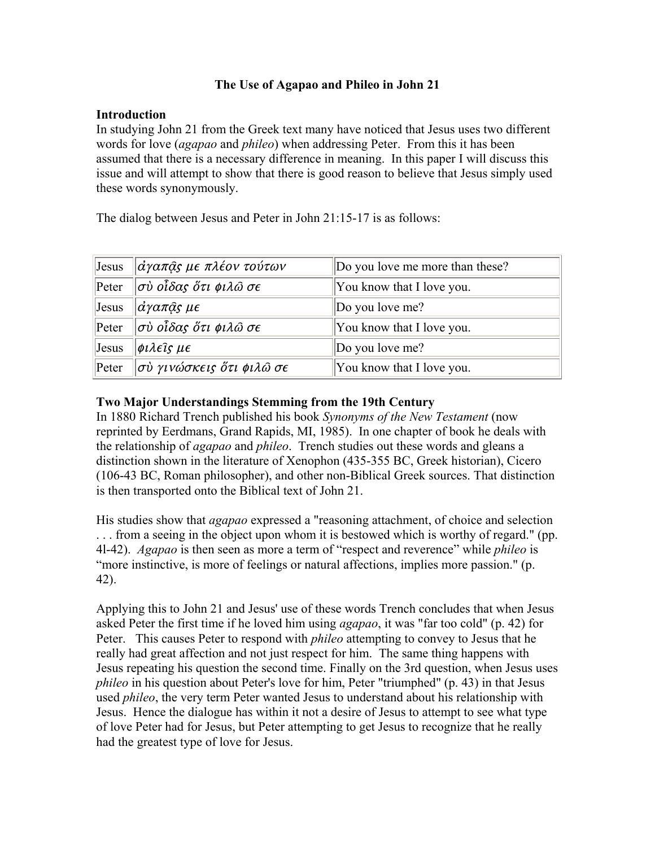# **The Use of Agapao and Phileo in John 21**

### **Introduction**

In studying John 21 from the Greek text many have noticed that Jesus uses two different words for love (*agapao* and *phileo*) when addressing Peter. From this it has been assumed that there is a necessary difference in meaning. In this paper I will discuss this issue and will attempt to show that there is good reason to believe that Jesus simply used these words synonymously.

The dialog between Jesus and Peter in John 21:15-17 is as follows:

| Jesus | $\ \vec{\alpha}\gamma$ απ $\widehat{\alpha}$ ς με πλέον τούτων     | Do you love me more than these? |
|-------|--------------------------------------------------------------------|---------------------------------|
| Peter | $\parallel$ σὺ οἶδας ὅτι φιλῶ σε                                   | You know that I love you.       |
| Jesus | $\ \vec{\alpha}$ γαπ $\widehat{a}$ ς μ $\epsilon$                  | Do you love me?                 |
| Peter | $\parallel$ σὺ οἶδας ὅτι φιλῶ σε                                   | You know that I love you.       |
| Jesus | $ \phi \iota \lambda \epsilon \hat{\imath} \varsigma \mu \epsilon$ | Do you love me?                 |
| Peter | $\ket{\sigma}$ ύ γινώσκεις ὅτι φιλῶ σε                             | You know that I love you.       |

# **Two Major Understandings Stemming from the 19th Century**

In 1880 Richard Trench published his book *Synonyms of the New Testament* (now reprinted by Eerdmans, Grand Rapids, MI, 1985). In one chapter of book he deals with the relationship of *agapao* and *phileo*. Trench studies out these words and gleans a distinction shown in the literature of Xenophon (435-355 BC, Greek historian), Cicero (106-43 BC, Roman philosopher), and other non-Biblical Greek sources. That distinction is then transported onto the Biblical text of John 21.

His studies show that *agapao* expressed a "reasoning attachment, of choice and selection . . . from a seeing in the object upon whom it is bestowed which is worthy of regard." (pp. 4l-42). *Agapao* is then seen as more a term of "respect and reverence" while *phileo* is "more instinctive, is more of feelings or natural affections, implies more passion." (p. 42).

Applying this to John 21 and Jesus' use of these words Trench concludes that when Jesus asked Peter the first time if he loved him using *agapao*, it was "far too cold" (p. 42) for Peter. This causes Peter to respond with *phileo* attempting to convey to Jesus that he really had great affection and not just respect for him. The same thing happens with Jesus repeating his question the second time. Finally on the 3rd question, when Jesus uses *phileo* in his question about Peter's love for him, Peter "triumphed" (p. 43) in that Jesus used *phileo*, the very term Peter wanted Jesus to understand about his relationship with Jesus. Hence the dialogue has within it not a desire of Jesus to attempt to see what type of love Peter had for Jesus, but Peter attempting to get Jesus to recognize that he really had the greatest type of love for Jesus.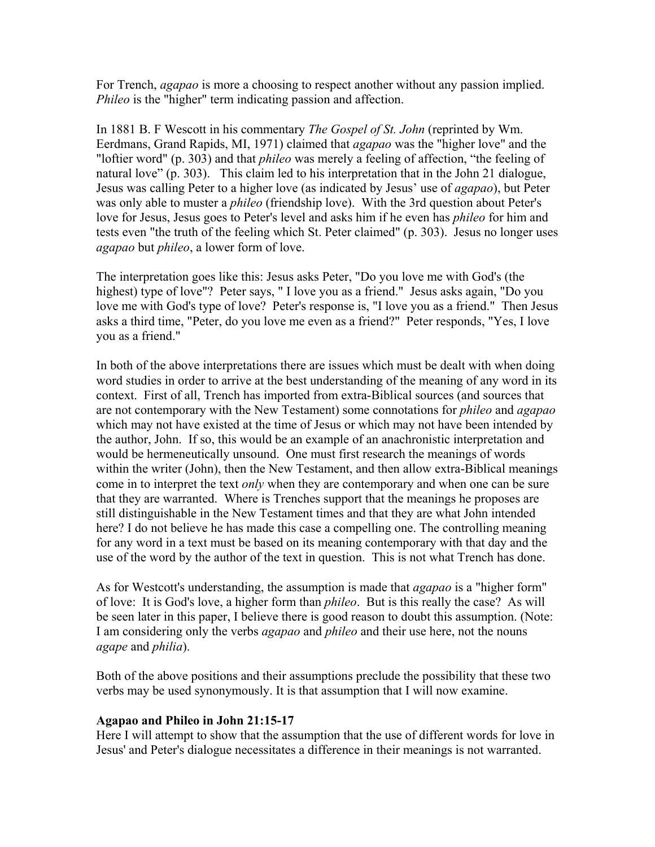For Trench, *agapao* is more a choosing to respect another without any passion implied. *Phileo* is the "higher" term indicating passion and affection.

In 1881 B. F Wescott in his commentary *The Gospel of St. John* (reprinted by Wm. Eerdmans, Grand Rapids, MI, 1971) claimed that *agapao* was the "higher love" and the "loftier word" (p. 303) and that *phileo* was merely a feeling of affection, "the feeling of natural love" (p. 303). This claim led to his interpretation that in the John 21 dialogue, Jesus was calling Peter to a higher love (as indicated by Jesus' use of *agapao*), but Peter was only able to muster a *phileo* (friendship love). With the 3rd question about Peter's love for Jesus, Jesus goes to Peter's level and asks him if he even has *phileo* for him and tests even "the truth of the feeling which St. Peter claimed" (p. 303). Jesus no longer uses *agapao* but *phileo*, a lower form of love.

The interpretation goes like this: Jesus asks Peter, "Do you love me with God's (the highest) type of love"? Peter says, " I love you as a friend." Jesus asks again, "Do you love me with God's type of love? Peter's response is, "I love you as a friend." Then Jesus asks a third time, "Peter, do you love me even as a friend?" Peter responds, "Yes, I love you as a friend."

In both of the above interpretations there are issues which must be dealt with when doing word studies in order to arrive at the best understanding of the meaning of any word in its context. First of all, Trench has imported from extra-Biblical sources (and sources that are not contemporary with the New Testament) some connotations for *phileo* and *agapao* which may not have existed at the time of Jesus or which may not have been intended by the author, John. If so, this would be an example of an anachronistic interpretation and would be hermeneutically unsound. One must first research the meanings of words within the writer (John), then the New Testament, and then allow extra-Biblical meanings come in to interpret the text *only* when they are contemporary and when one can be sure that they are warranted. Where is Trenches support that the meanings he proposes are still distinguishable in the New Testament times and that they are what John intended here? I do not believe he has made this case a compelling one. The controlling meaning for any word in a text must be based on its meaning contemporary with that day and the use of the word by the author of the text in question. This is not what Trench has done.

As for Westcott's understanding, the assumption is made that *agapao* is a "higher form" of love: It is God's love, a higher form than *phileo*. But is this really the case? As will be seen later in this paper, I believe there is good reason to doubt this assumption. (Note: I am considering only the verbs *agapao* and *phileo* and their use here, not the nouns *agape* and *philia*).

Both of the above positions and their assumptions preclude the possibility that these two verbs may be used synonymously. It is that assumption that I will now examine.

#### **Agapao and Phileo in John 21:15-17**

Here I will attempt to show that the assumption that the use of different words for love in Jesus' and Peter's dialogue necessitates a difference in their meanings is not warranted.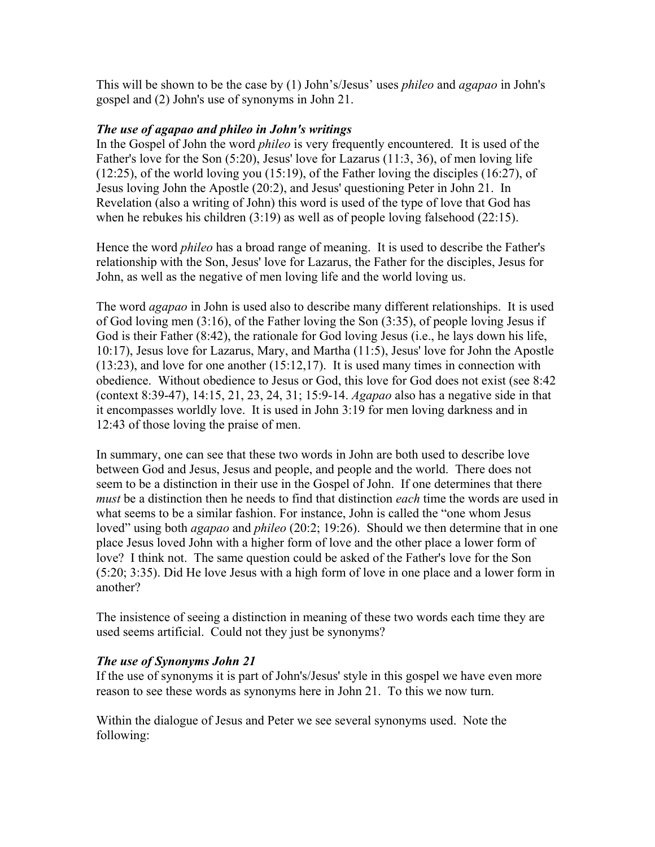This will be shown to be the case by (1) John's/Jesus' uses *phileo* and *agapao* in John's gospel and (2) John's use of synonyms in John 21.

### *The use of agapao and phileo in John's writings*

In the Gospel of John the word *phileo* is very frequently encountered. It is used of the Father's love for the Son (5:20), Jesus' love for Lazarus (11:3, 36), of men loving life (12:25), of the world loving you (15:19), of the Father loving the disciples (16:27), of Jesus loving John the Apostle (20:2), and Jesus' questioning Peter in John 21. In Revelation (also a writing of John) this word is used of the type of love that God has when he rebukes his children (3:19) as well as of people loving falsehood (22:15).

Hence the word *phileo* has a broad range of meaning. It is used to describe the Father's relationship with the Son, Jesus' love for Lazarus, the Father for the disciples, Jesus for John, as well as the negative of men loving life and the world loving us.

The word *agapao* in John is used also to describe many different relationships. It is used of God loving men (3:16), of the Father loving the Son (3:35), of people loving Jesus if God is their Father (8:42), the rationale for God loving Jesus (i.e., he lays down his life, 10:17), Jesus love for Lazarus, Mary, and Martha (11:5), Jesus' love for John the Apostle (13:23), and love for one another (15:12,17). It is used many times in connection with obedience. Without obedience to Jesus or God, this love for God does not exist (see 8:42 (context 8:39-47), 14:15, 21, 23, 24, 31; 15:9-14. *Agapao* also has a negative side in that it encompasses worldly love. It is used in John 3:19 for men loving darkness and in 12:43 of those loving the praise of men.

In summary, one can see that these two words in John are both used to describe love between God and Jesus, Jesus and people, and people and the world. There does not seem to be a distinction in their use in the Gospel of John. If one determines that there *must* be a distinction then he needs to find that distinction *each* time the words are used in what seems to be a similar fashion. For instance, John is called the "one whom Jesus loved" using both *agapao* and *phileo* (20:2; 19:26). Should we then determine that in one place Jesus loved John with a higher form of love and the other place a lower form of love? I think not. The same question could be asked of the Father's love for the Son (5:20; 3:35). Did He love Jesus with a high form of love in one place and a lower form in another?

The insistence of seeing a distinction in meaning of these two words each time they are used seems artificial. Could not they just be synonyms?

# *The use of Synonyms John 21*

If the use of synonyms it is part of John's/Jesus' style in this gospel we have even more reason to see these words as synonyms here in John 21. To this we now turn.

Within the dialogue of Jesus and Peter we see several synonyms used. Note the following: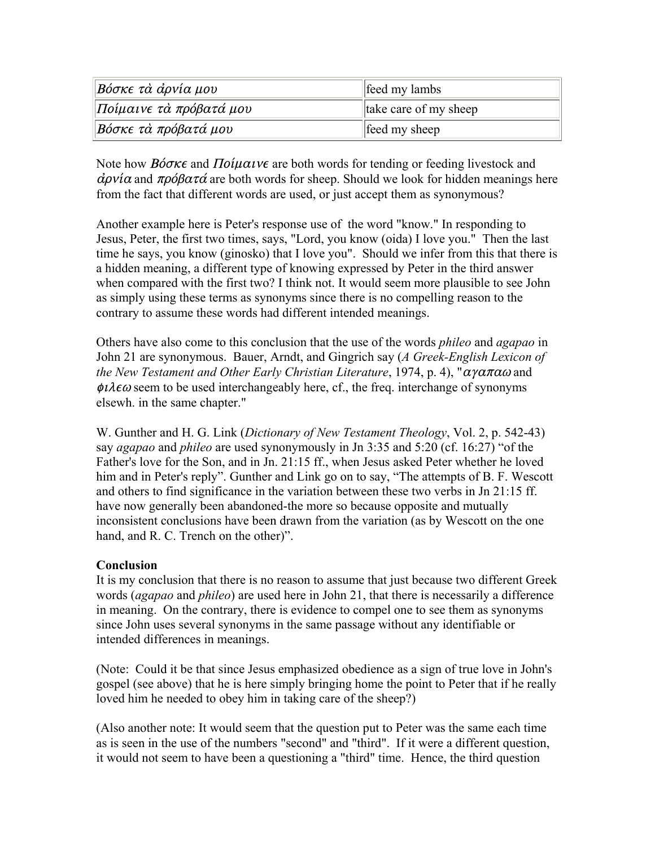| Βόσκε τὰ ἀρνία μου      | feed my lambs         |
|-------------------------|-----------------------|
| Ποίμαινε τὰ πρόβατά μου | take care of my sheep |
| Βόσκε τὰ πρόβατά μου    | feed my sheep         |

Note how *Bóoke* and *Ποίμαινε* are both words for tending or feeding livestock and  $\dot{\alpha} \rho \nu \dot{\alpha}$  and  $\pi \rho \dot{\beta} \rho \alpha \tau \dot{\alpha}$  are both words for sheep. Should we look for hidden meanings here from the fact that different words are used, or just accept them as synonymous?

Another example here is Peter's response use of the word "know." In responding to Jesus, Peter, the first two times, says, "Lord, you know (oida) I love you." Then the last time he says, you know (ginosko) that I love you". Should we infer from this that there is a hidden meaning, a different type of knowing expressed by Peter in the third answer when compared with the first two? I think not. It would seem more plausible to see John as simply using these terms as synonyms since there is no compelling reason to the contrary to assume these words had different intended meanings.

Others have also come to this conclusion that the use of the words *phileo* and *agapao* in John 21 are synonymous. Bauer, Arndt, and Gingrich say (*A Greek-English Lexicon of the New Testament and Other Early Christian Literature*, 1974, p. 4), " $\alpha \gamma \alpha \pi \alpha \omega$  and  $\phi \iota \lambda \epsilon \omega$  seem to be used interchangeably here, cf., the freq. interchange of synonyms elsewh. in the same chapter."

W. Gunther and H. G. Link (*Dictionary of New Testament Theology*, Vol. 2, p. 542-43) say *agapao* and *phileo* are used synonymously in Jn 3:35 and 5:20 (cf. 16:27) "of the Father's love for the Son, and in Jn. 21:15 ff., when Jesus asked Peter whether he loved him and in Peter's reply". Gunther and Link go on to say, "The attempts of B. F. Wescott and others to find significance in the variation between these two verbs in Jn 21:15 ff. have now generally been abandoned-the more so because opposite and mutually inconsistent conclusions have been drawn from the variation (as by Wescott on the one hand, and R. C. Trench on the other)".

# **Conclusion**

It is my conclusion that there is no reason to assume that just because two different Greek words (*agapao* and *phileo*) are used here in John 21, that there is necessarily a difference in meaning. On the contrary, there is evidence to compel one to see them as synonyms since John uses several synonyms in the same passage without any identifiable or intended differences in meanings.

(Note: Could it be that since Jesus emphasized obedience as a sign of true love in John's gospel (see above) that he is here simply bringing home the point to Peter that if he really loved him he needed to obey him in taking care of the sheep?)

(Also another note: It would seem that the question put to Peter was the same each time as is seen in the use of the numbers "second" and "third". If it were a different question, it would not seem to have been a questioning a "third" time. Hence, the third question